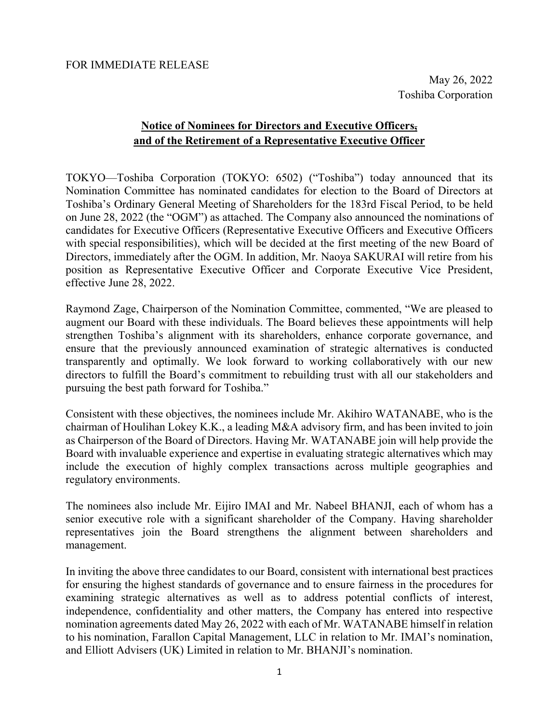May 26, 2022 Toshiba Corporation

### **Notice of Nominees for Directors and Executive Officers, and of the Retirement of a Representative Executive Officer**

TOKYO—Toshiba Corporation (TOKYO: 6502) ("Toshiba") today announced that its Nomination Committee has nominated candidates for election to the Board of Directors at Toshiba's Ordinary General Meeting of Shareholders for the 183rd Fiscal Period, to be held on June 28, 2022 (the "OGM") as attached. The Company also announced the nominations of candidates for Executive Officers (Representative Executive Officers and Executive Officers with special responsibilities), which will be decided at the first meeting of the new Board of Directors, immediately after the OGM. In addition, Mr. Naoya SAKURAI will retire from his position as Representative Executive Officer and Corporate Executive Vice President, effective June 28, 2022.

Raymond Zage, Chairperson of the Nomination Committee, commented, "We are pleased to augment our Board with these individuals. The Board believes these appointments will help strengthen Toshiba's alignment with its shareholders, enhance corporate governance, and ensure that the previously announced examination of strategic alternatives is conducted transparently and optimally. We look forward to working collaboratively with our new directors to fulfill the Board's commitment to rebuilding trust with all our stakeholders and pursuing the best path forward for Toshiba."

Consistent with these objectives, the nominees include Mr. Akihiro WATANABE, who is the chairman of Houlihan Lokey K.K., a leading M&A advisory firm, and has been invited to join as Chairperson of the Board of Directors. Having Mr. WATANABE join will help provide the Board with invaluable experience and expertise in evaluating strategic alternatives which may include the execution of highly complex transactions across multiple geographies and regulatory environments.

The nominees also include Mr. Eijiro IMAI and Mr. Nabeel BHANJI, each of whom has a senior executive role with a significant shareholder of the Company. Having shareholder representatives join the Board strengthens the alignment between shareholders and management.

In inviting the above three candidates to our Board, consistent with international best practices for ensuring the highest standards of governance and to ensure fairness in the procedures for examining strategic alternatives as well as to address potential conflicts of interest, independence, confidentiality and other matters, the Company has entered into respective nomination agreements dated May 26, 2022 with each of Mr. WATANABE himself in relation to his nomination, Farallon Capital Management, LLC in relation to Mr. IMAI's nomination, and Elliott Advisers (UK) Limited in relation to Mr. BHANJI's nomination.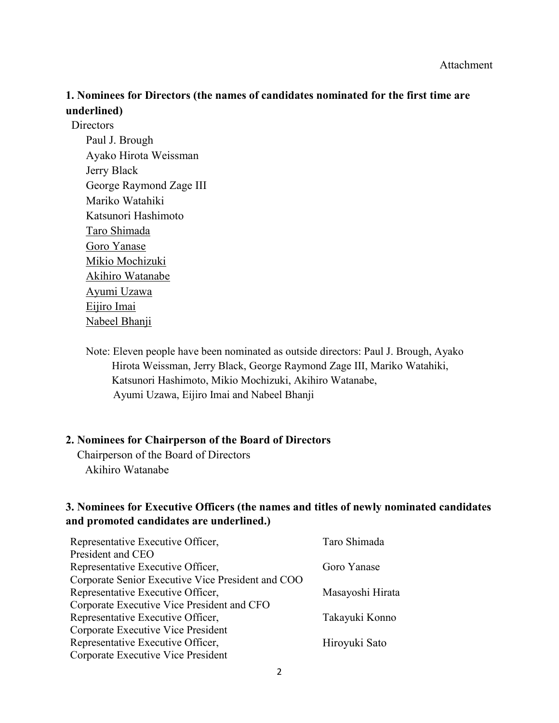### **1. Nominees for Directors (the names of candidates nominated for the first time are underlined)**

**Directors** Paul J. Brough Ayako Hirota Weissman Jerry Black George Raymond Zage III Mariko Watahiki Katsunori Hashimoto Taro Shimada Goro Yanase Mikio Mochizuki Akihiro Watanabe Ayumi Uzawa Eijiro Imai Nabeel Bhanji

> Note: Eleven people have been nominated as outside directors: Paul J. Brough, Ayako Hirota Weissman, Jerry Black, George Raymond Zage III, Mariko Watahiki, Katsunori Hashimoto, Mikio Mochizuki, Akihiro Watanabe, Ayumi Uzawa, Eijiro Imai and Nabeel Bhanji

#### **2. Nominees for Chairperson of the Board of Directors**

Chairperson of the Board of Directors Akihiro Watanabe

#### **3. Nominees for Executive Officers (the names and titles of newly nominated candidates and promoted candidates are underlined.)**

| Representative Executive Officer,                 | Taro Shimada     |
|---------------------------------------------------|------------------|
| President and CEO                                 |                  |
| Representative Executive Officer,                 | Goro Yanase      |
| Corporate Senior Executive Vice President and COO |                  |
| Representative Executive Officer,                 | Masayoshi Hirata |
| Corporate Executive Vice President and CFO        |                  |
| Representative Executive Officer,                 | Takayuki Konno   |
| Corporate Executive Vice President                |                  |
| Representative Executive Officer,                 | Hiroyuki Sato    |
| Corporate Executive Vice President                |                  |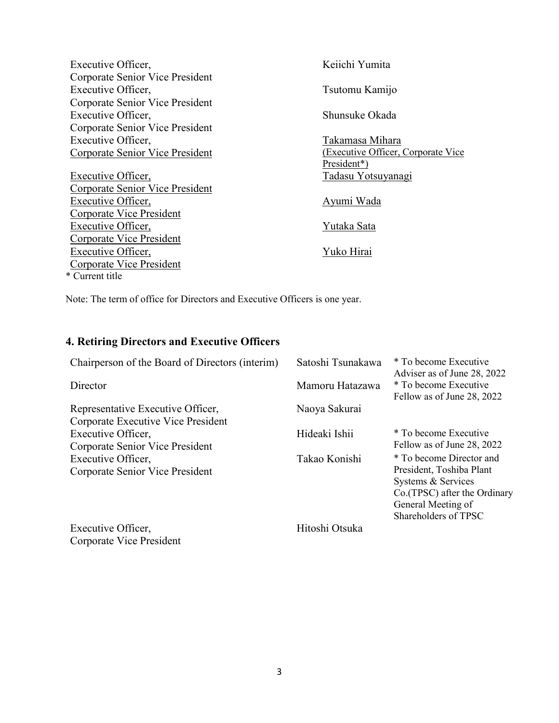| Executive Officer,              | Keiichi Yumita                      |
|---------------------------------|-------------------------------------|
| Corporate Senior Vice President |                                     |
| Executive Officer,              | Tsutomu Kamijo                      |
| Corporate Senior Vice President |                                     |
| Executive Officer,              | Shunsuke Okada                      |
| Corporate Senior Vice President |                                     |
| Executive Officer,              | Takamasa Mihara                     |
| Corporate Senior Vice President | (Executive Officer, Corporate Vice) |
|                                 | President*)                         |
| Executive Officer,              | Tadasu Yotsuyanagi                  |
| Corporate Senior Vice President |                                     |
| Executive Officer,              | Ayumi Wada                          |
| <b>Corporate Vice President</b> |                                     |
| <b>Executive Officer,</b>       | Yutaka Sata                         |
| Corporate Vice President        |                                     |
| Executive Officer,              | Yuko Hirai                          |
| Corporate Vice President        |                                     |
| * Current title                 |                                     |

Note: The term of office for Directors and Executive Officers is one year.

# **4. Retiring Directors and Executive Officers**

| Chairperson of the Board of Directors (interim) | Satoshi Tsunakawa | * To become Executive<br>Adviser as of June 28, 2022 |
|-------------------------------------------------|-------------------|------------------------------------------------------|
| Director                                        | Mamoru Hatazawa   | * To become Executive<br>Fellow as of June 28, 2022  |
| Representative Executive Officer,               | Naoya Sakurai     |                                                      |
| Corporate Executive Vice President              |                   |                                                      |
| Executive Officer,                              | Hideaki Ishii     | * To become Executive                                |
| Corporate Senior Vice President                 |                   | Fellow as of June 28, 2022                           |
| Executive Officer,                              | Takao Konishi     | * To become Director and                             |
| Corporate Senior Vice President                 |                   | President, Toshiba Plant                             |
|                                                 |                   | Systems & Services                                   |
|                                                 |                   | Co. (TPSC) after the Ordinary                        |
|                                                 |                   | General Meeting of                                   |
|                                                 |                   | Shareholders of TPSC                                 |
| Executive Officer,                              | Hitoshi Otsuka    |                                                      |
| Corporate Vice President                        |                   |                                                      |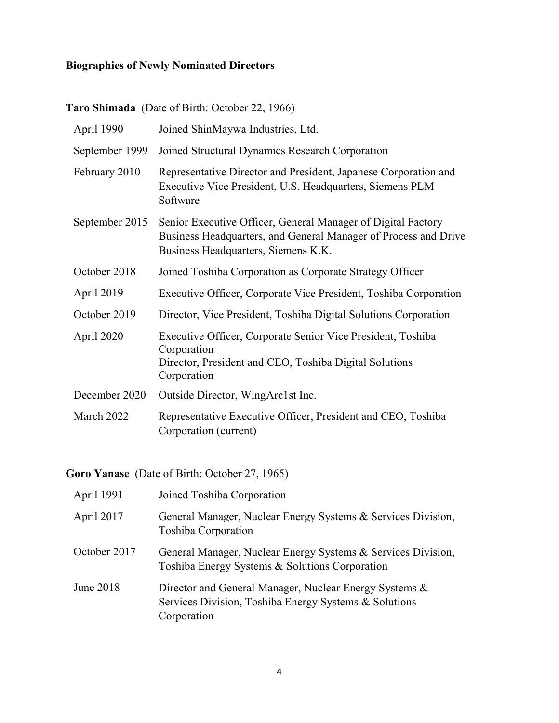### **Biographies of Newly Nominated Directors**

# **Taro Shimada** (Date of Birth: October 22, 1966)

| April 1990     | Joined ShinMaywa Industries, Ltd.                                                                                                                                      |
|----------------|------------------------------------------------------------------------------------------------------------------------------------------------------------------------|
| September 1999 | Joined Structural Dynamics Research Corporation                                                                                                                        |
| February 2010  | Representative Director and President, Japanese Corporation and<br>Executive Vice President, U.S. Headquarters, Siemens PLM<br>Software                                |
| September 2015 | Senior Executive Officer, General Manager of Digital Factory<br>Business Headquarters, and General Manager of Process and Drive<br>Business Headquarters, Siemens K.K. |
| October 2018   | Joined Toshiba Corporation as Corporate Strategy Officer                                                                                                               |
| April 2019     | Executive Officer, Corporate Vice President, Toshiba Corporation                                                                                                       |
| October 2019   | Director, Vice President, Toshiba Digital Solutions Corporation                                                                                                        |
| April 2020     | Executive Officer, Corporate Senior Vice President, Toshiba<br>Corporation<br>Director, President and CEO, Toshiba Digital Solutions<br>Corporation                    |
| December 2020  | Outside Director, WingArc1st Inc.                                                                                                                                      |
| March 2022     | Representative Executive Officer, President and CEO, Toshiba<br>Corporation (current)                                                                                  |

**Goro Yanase** (Date of Birth: October 27, 1965)

| April 1991   | Joined Toshiba Corporation                                                                                                     |
|--------------|--------------------------------------------------------------------------------------------------------------------------------|
| April 2017   | General Manager, Nuclear Energy Systems & Services Division,<br>Toshiba Corporation                                            |
| October 2017 | General Manager, Nuclear Energy Systems & Services Division,<br>Toshiba Energy Systems & Solutions Corporation                 |
| June 2018    | Director and General Manager, Nuclear Energy Systems &<br>Services Division, Toshiba Energy Systems & Solutions<br>Corporation |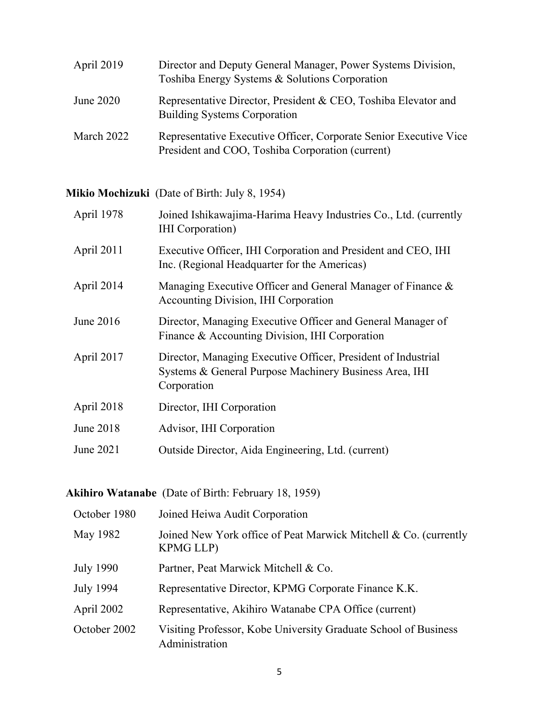| April 2019 | Director and Deputy General Manager, Power Systems Division,<br>Toshiba Energy Systems & Solutions Corporation        |
|------------|-----------------------------------------------------------------------------------------------------------------------|
| June 2020  | Representative Director, President & CEO, Toshiba Elevator and<br><b>Building Systems Corporation</b>                 |
| March 2022 | Representative Executive Officer, Corporate Senior Executive Vice<br>President and COO, Toshiba Corporation (current) |

**Mikio Mochizuki** (Date of Birth: July 8, 1954)

| April 1978 | Joined Ishikawajima-Harima Heavy Industries Co., Ltd. (currently<br><b>IHI</b> Corporation)                                            |
|------------|----------------------------------------------------------------------------------------------------------------------------------------|
| April 2011 | Executive Officer, IHI Corporation and President and CEO, IHI<br>Inc. (Regional Headquarter for the Americas)                          |
| April 2014 | Managing Executive Officer and General Manager of Finance &<br>Accounting Division, IHI Corporation                                    |
| June 2016  | Director, Managing Executive Officer and General Manager of<br>Finance & Accounting Division, IHI Corporation                          |
| April 2017 | Director, Managing Executive Officer, President of Industrial<br>Systems & General Purpose Machinery Business Area, IHI<br>Corporation |
| April 2018 | Director, IHI Corporation                                                                                                              |
| June 2018  | Advisor, IHI Corporation                                                                                                               |
| June 2021  | Outside Director, Aida Engineering, Ltd. (current)                                                                                     |

**Akihiro Watanabe** (Date of Birth: February 18, 1959)

| October 1980     | Joined Heiwa Audit Corporation                                                       |
|------------------|--------------------------------------------------------------------------------------|
| May 1982         | Joined New York office of Peat Marwick Mitchell & Co. (currently<br><b>KPMG LLP)</b> |
| <b>July 1990</b> | Partner, Peat Marwick Mitchell & Co.                                                 |
| July 1994        | Representative Director, KPMG Corporate Finance K.K.                                 |
| April 2002       | Representative, Akihiro Watanabe CPA Office (current)                                |
| October 2002     | Visiting Professor, Kobe University Graduate School of Business<br>Administration    |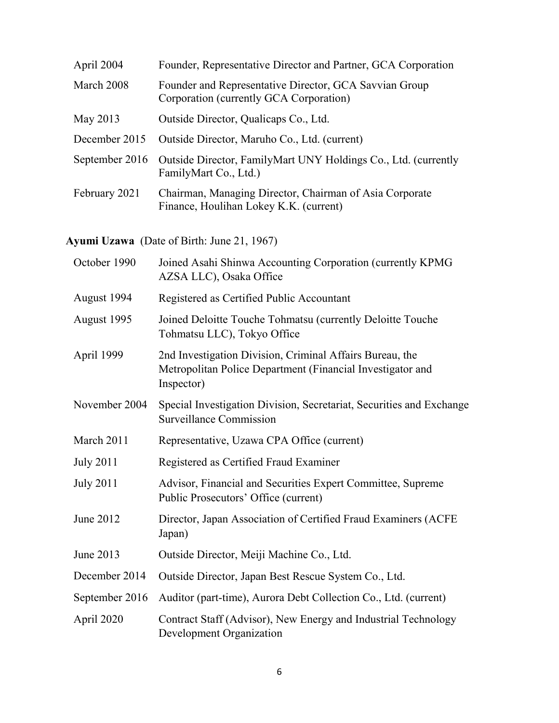| April 2004    | Founder, Representative Director and Partner, GCA Corporation                                          |
|---------------|--------------------------------------------------------------------------------------------------------|
| March 2008    | Founder and Representative Director, GCA Savvian Group<br>Corporation (currently GCA Corporation)      |
| May 2013      | Outside Director, Qualicaps Co., Ltd.                                                                  |
| December 2015 | Outside Director, Maruho Co., Ltd. (current)                                                           |
|               | September 2016 Outside Director, FamilyMart UNY Holdings Co., Ltd. (currently<br>FamilyMart Co., Ltd.) |
| February 2021 | Chairman, Managing Director, Chairman of Asia Corporate<br>Finance, Houlihan Lokey K.K. (current)      |

**Ayumi Uzawa** (Date of Birth: June 21, 1967)

| October 1990     | Joined Asahi Shinwa Accounting Corporation (currently KPMG<br>AZSA LLC), Osaka Office                                                |
|------------------|--------------------------------------------------------------------------------------------------------------------------------------|
| August 1994      | Registered as Certified Public Accountant                                                                                            |
| August 1995      | Joined Deloitte Touche Tohmatsu (currently Deloitte Touche<br>Tohmatsu LLC), Tokyo Office                                            |
| April 1999       | 2nd Investigation Division, Criminal Affairs Bureau, the<br>Metropolitan Police Department (Financial Investigator and<br>Inspector) |
| November 2004    | Special Investigation Division, Secretariat, Securities and Exchange<br>Surveillance Commission                                      |
| March 2011       | Representative, Uzawa CPA Office (current)                                                                                           |
| <b>July 2011</b> | Registered as Certified Fraud Examiner                                                                                               |
| <b>July 2011</b> | Advisor, Financial and Securities Expert Committee, Supreme<br>Public Prosecutors' Office (current)                                  |
| June 2012        | Director, Japan Association of Certified Fraud Examiners (ACFE<br>Japan)                                                             |
| June 2013        | Outside Director, Meiji Machine Co., Ltd.                                                                                            |
| December 2014    | Outside Director, Japan Best Rescue System Co., Ltd.                                                                                 |
| September 2016   | Auditor (part-time), Aurora Debt Collection Co., Ltd. (current)                                                                      |
| April 2020       | Contract Staff (Advisor), New Energy and Industrial Technology<br>Development Organization                                           |